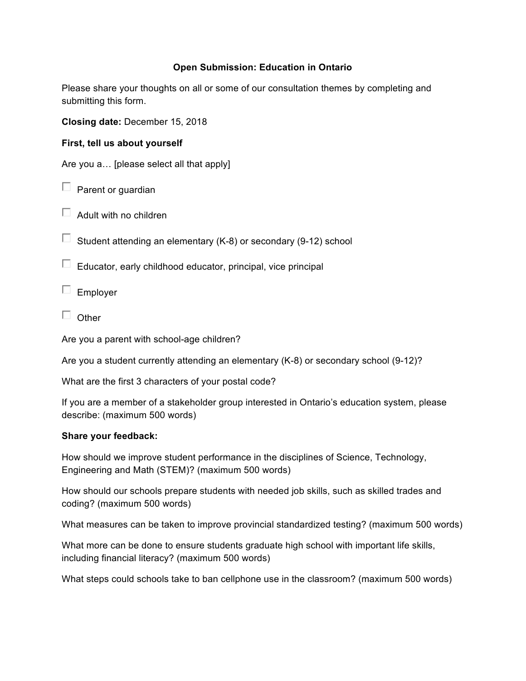## **Open Submission: Education in Ontario**

Please share your thoughts on all or some of our consultation themes by completing and submitting this form.

**Closing date:** December 15, 2018

**First, tell us about yourself**

Are you a… [please select all that apply]

 $\Box$  Parent or quardian

 $\Box$  Adult with no children

 $\Box$  Student attending an elementary (K-8) or secondary (9-12) school

 $\Box$  Educator, early childhood educator, principal, vice principal

 $\Box$  Employer

 $\Box$  Other

Are you a parent with school-age children?

Are you a student currently attending an elementary (K-8) or secondary school (9-12)?

What are the first 3 characters of your postal code?

If you are a member of a stakeholder group interested in Ontario's education system, please describe: (maximum 500 words)

## **Share your feedback:**

How should we improve student performance in the disciplines of Science, Technology, Engineering and Math (STEM)? (maximum 500 words)

How should our schools prepare students with needed job skills, such as skilled trades and coding? (maximum 500 words)

What measures can be taken to improve provincial standardized testing? (maximum 500 words)

What more can be done to ensure students graduate high school with important life skills, including financial literacy? (maximum 500 words)

What steps could schools take to ban cellphone use in the classroom? (maximum 500 words)